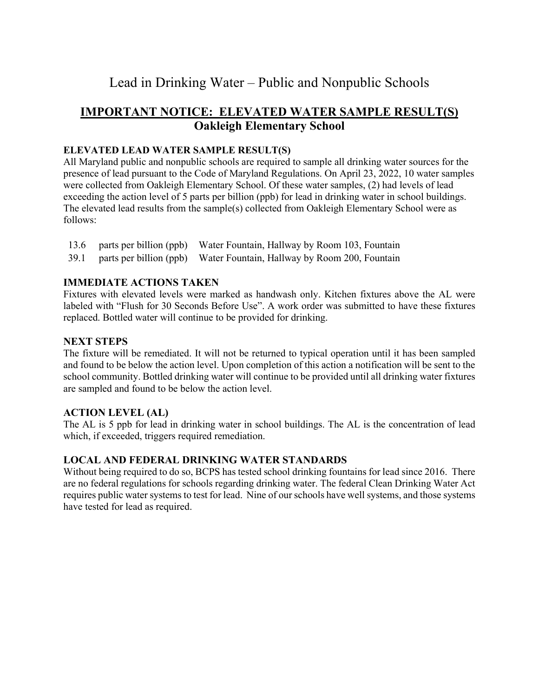# Lead in Drinking Water – Public and Nonpublic Schools

# **IMPORTANT NOTICE: ELEVATED WATER SAMPLE RESULT(S) Oakleigh Elementary School**

#### **ELEVATED LEAD WATER SAMPLE RESULT(S)**

All Maryland public and nonpublic schools are required to sample all drinking water sources for the presence of lead pursuant to the Code of Maryland Regulations. On April 23, 2022, 10 water samples were collected from Oakleigh Elementary School. Of these water samples, (2) had levels of lead exceeding the action level of 5 parts per billion (ppb) for lead in drinking water in school buildings. The elevated lead results from the sample(s) collected from Oakleigh Elementary School were as follows:

- 13.6 parts per billion (ppb) Water Fountain, Hallway by Room 103, Fountain
- 39.1 parts per billion (ppb) Water Fountain, Hallway by Room 200, Fountain

# **IMMEDIATE ACTIONS TAKEN**

Fixtures with elevated levels were marked as handwash only. Kitchen fixtures above the AL were labeled with "Flush for 30 Seconds Before Use". A work order was submitted to have these fixtures replaced. Bottled water will continue to be provided for drinking.

## **NEXT STEPS**

The fixture will be remediated. It will not be returned to typical operation until it has been sampled and found to be below the action level. Upon completion of this action a notification will be sent to the school community. Bottled drinking water will continue to be provided until all drinking water fixtures are sampled and found to be below the action level.

## **ACTION LEVEL (AL)**

The AL is 5 ppb for lead in drinking water in school buildings. The AL is the concentration of lead which, if exceeded, triggers required remediation.

## **LOCAL AND FEDERAL DRINKING WATER STANDARDS**

Without being required to do so, BCPS has tested school drinking fountains for lead since 2016. There are no federal regulations for schools regarding drinking water. The federal Clean Drinking Water Act requires public water systems to test for lead. Nine of our schools have well systems, and those systems have tested for lead as required.